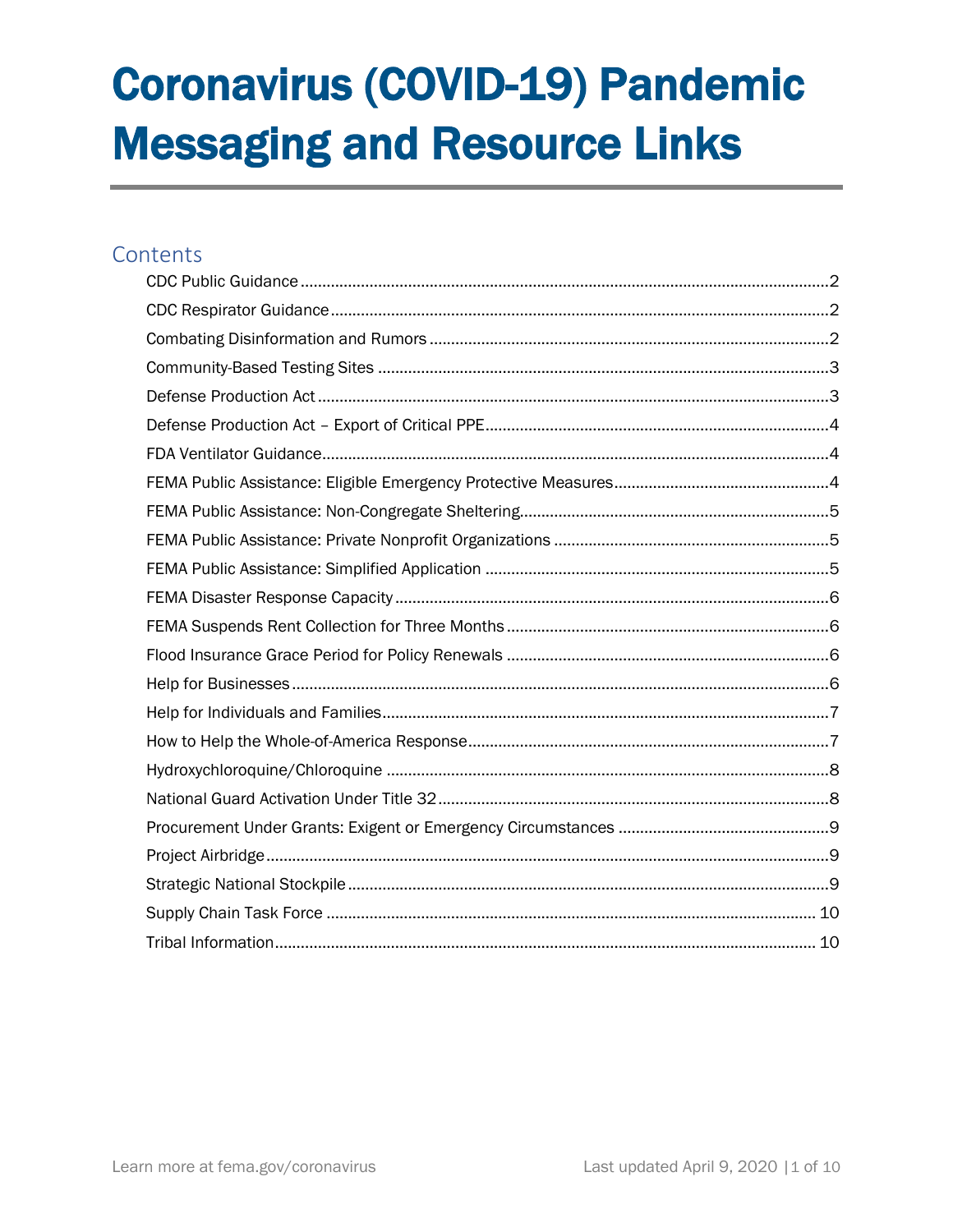# **Coronavirus (COVID-19) Pandemic Messaging and Resource Links**

#### Contents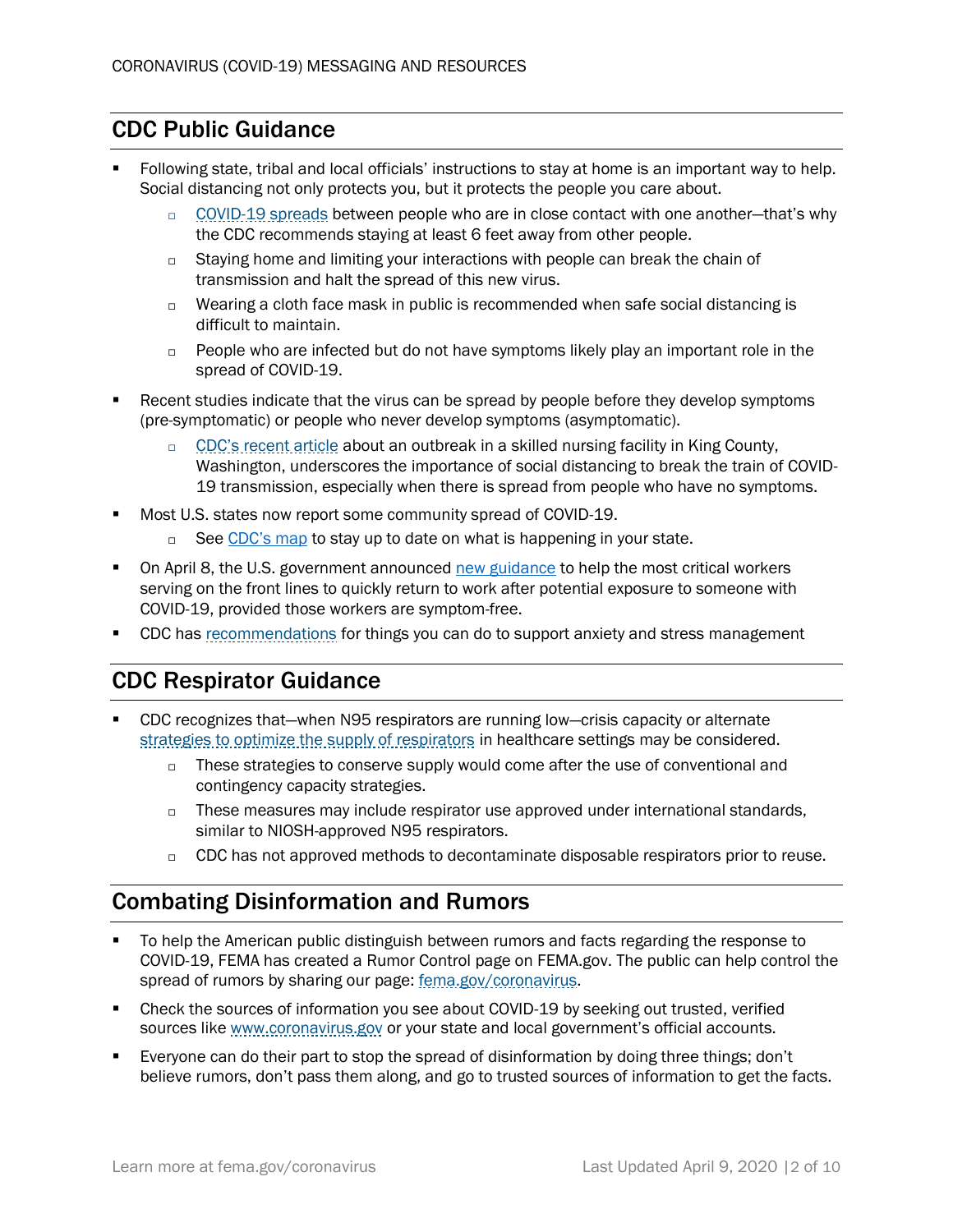## <span id="page-1-0"></span>CDC Public Guidance

- Following state, tribal and local officials' instructions to stay at home is an important way to help. Social distancing not only protects you, but it protects the people you care about.
	- □ [COVID-19 spreads](https://www.cdc.gov/coronavirus/2019-ncov/prepare/prevention.html) between people who are in close contact with one another-that's why the CDC recommends staying at least 6 feet away from other people.
	- $\Box$  Staying home and limiting your interactions with people can break the chain of transmission and halt the spread of this new virus.
	- $\Box$  Wearing a cloth face mask in public is recommended when safe social distancing is difficult to maintain.
	- $\Box$  People who are infected but do not have symptoms likely play an important role in the spread of COVID-19.
- Recent studies indicate that the virus can be spread by people before they develop symptoms (pre-symptomatic) or people who never develop symptoms (asymptomatic).
	- $\Box$  [CDC's recent article](https://www.cdc.gov/mmwr/volumes/69/wr/mm6912e1.htm) about an outbreak in a skilled nursing facility in King County, Washington, underscores the importance of social distancing to break the train of COVID-19 transmission, especially when there is spread from people who have no symptoms.
- Most U.S. states now report some community spread of COVID-19.
	- □ See [CDC's map](https://www.cdc.gov/coronavirus/2019-ncov/cases-updates/cases-in-us.html#reporting-cases) to stay up to date on what is happening in your state.
- On April 8, the U.S. government announced [new guidance](https://www.cdc.gov/coronavirus/2019-ncov/community/critical-workers/implementing-safety-practices.html) to help the most critical workers serving on the front lines to quickly return to work after potential exposure to someone with COVID-19, provided those workers are symptom-free.
- CDC has [recommendations](https://www.cdc.gov/coronavirus/2019-ncov/prepare/managing-stress-anxiety.html) for things you can do to support anxiety and stress management

### <span id="page-1-1"></span>CDC Respirator Guidance

- CDC recognizes that—when N95 respirators are running low—crisis capacity or alternate [strategies to optimize the supply of respirators](https://www.cdc.gov/coronavirus/2019-ncov/hcp/respirators-strategy/index.html) in healthcare settings may be considered.
	- $\Box$  These strategies to conserve supply would come after the use of conventional and contingency capacity strategies.
	- $\Box$  These measures may include respirator use approved under international standards, similar to NIOSH-approved N95 respirators.
	- □ CDC has not approved methods to decontaminate disposable respirators prior to reuse.

#### <span id="page-1-2"></span>Combating Disinformation and Rumors

- To help the American public distinguish between rumors and facts regarding the response to COVID-19, FEMA has created a Rumor Control page on FEMA.gov. The public can help control the spread of rumors by sharing our page: [fema.gov/coronavirus.](http://www.fema.gov/coronavirus)
- **•** Check the sources of information you see about COVID-19 by seeking out trusted, verified sources like [www.coronavirus.gov](http://www.coronavirus.gov/) or your state and local government's official accounts.
- Everyone can do their part to stop the spread of disinformation by doing three things; don't believe rumors, don't pass them along, and go to trusted sources of information to get the facts.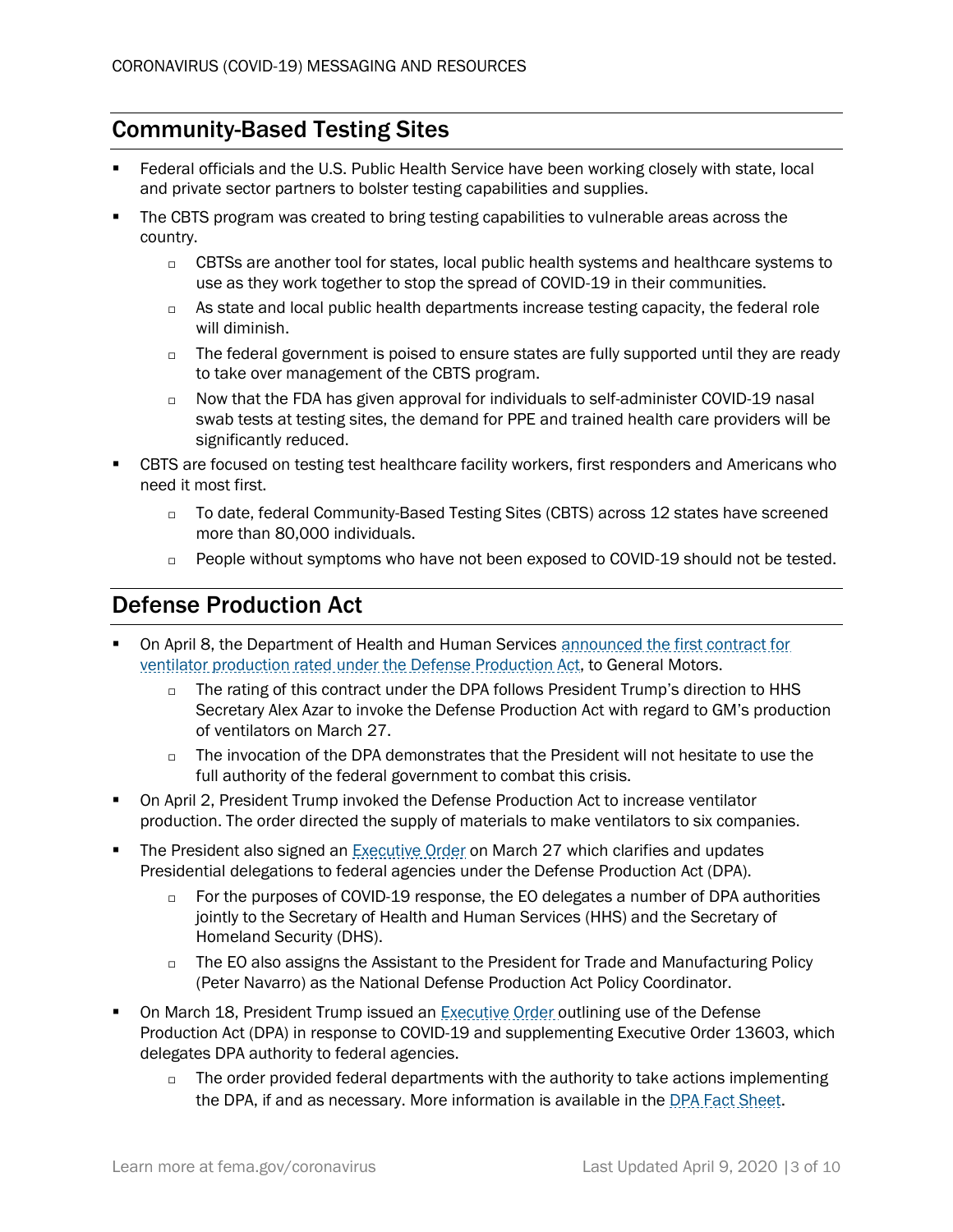# <span id="page-2-0"></span>Community-Based Testing Sites

- Federal officials and the U.S. Public Health Service have been working closely with state, local and private sector partners to bolster testing capabilities and supplies.
- The CBTS program was created to bring testing capabilities to vulnerable areas across the country.
	- $\Box$  CBTSs are another tool for states, local public health systems and healthcare systems to use as they work together to stop the spread of COVID-19 in their communities.
	- $\Box$  As state and local public health departments increase testing capacity, the federal role will diminish.
	- $\Box$  The federal government is poised to ensure states are fully supported until they are ready to take over management of the CBTS program.
	- $\Box$  Now that the FDA has given approval for individuals to self-administer COVID-19 nasal swab tests at testing sites, the demand for PPE and trained health care providers will be significantly reduced.
- CBTS are focused on testing test healthcare facility workers, first responders and Americans who need it most first.
	- □ To date, federal Community-Based Testing Sites (CBTS) across 12 states have screened more than 80,000 individuals.
	- $\Box$  People without symptoms who have not been exposed to COVID-19 should not be tested.

# <span id="page-2-1"></span>Defense Production Act

- On April 8, the Department of Health and Human Services announced the first contract for [ventilator production rated under](https://www.hhs.gov/about/news/2020/04/08/hhs-announces-ventilator-contract-with-gm-under-defense-production-act.html) the Defense Production Act, to General Motors.
	- $\Box$  The rating of this contract under the DPA follows President Trump's direction to HHS Secretary Alex Azar to invoke the Defense Production Act with regard to GM's production of ventilators on March 27.
	- $\Box$  The invocation of the DPA demonstrates that the President will not hesitate to use the full authority of the federal government to combat this crisis.
- **On April 2, President Trump invoked the Defense Production Act to increase ventilator** production. The order directed the supply of materials to make ventilators to six companies.
- The President also signed an [Executive Order](https://www.whitehouse.gov/presidential-actions/eo-delegating-additional-authority-dpa-respect-health-medical-resources-respond-spread-covid-19/) on March 27 which clarifies and updates Presidential delegations to federal agencies under the Defense Production Act (DPA).
	- $\Box$  For the purposes of COVID-19 response, the EO delegates a number of DPA authorities jointly to the Secretary of Health and Human Services (HHS) and the Secretary of Homeland Security (DHS).
	- $\Box$  The EO also assigns the Assistant to the President for Trade and Manufacturing Policy (Peter Navarro) as the National Defense Production Act Policy Coordinator.
- On March 18, President Trump issued an [Executive Order](https://www.whitehouse.gov/presidential-actions/executive-order-prioritizing-allocating-health-medical-resources-respond-spread-covid-19/) outlining use of the Defense Production Act (DPA) in response to COVID-19 and supplementing Executive [Order 13603,](https://www.govinfo.gov/content/pkg/FR-2012-03-22/pdf/2012-7019.pdf) which delegates DPA authority to federal agencies.
	- $\Box$  The order provided federal departments with the authority to take actions implementing the DPA, if and as necessary. More information is available in the [DPA Fact Sheet.](https://www.fema.gov/news-release/2020/03/20/use-defense-production-act-authorities-support-pandemic-response)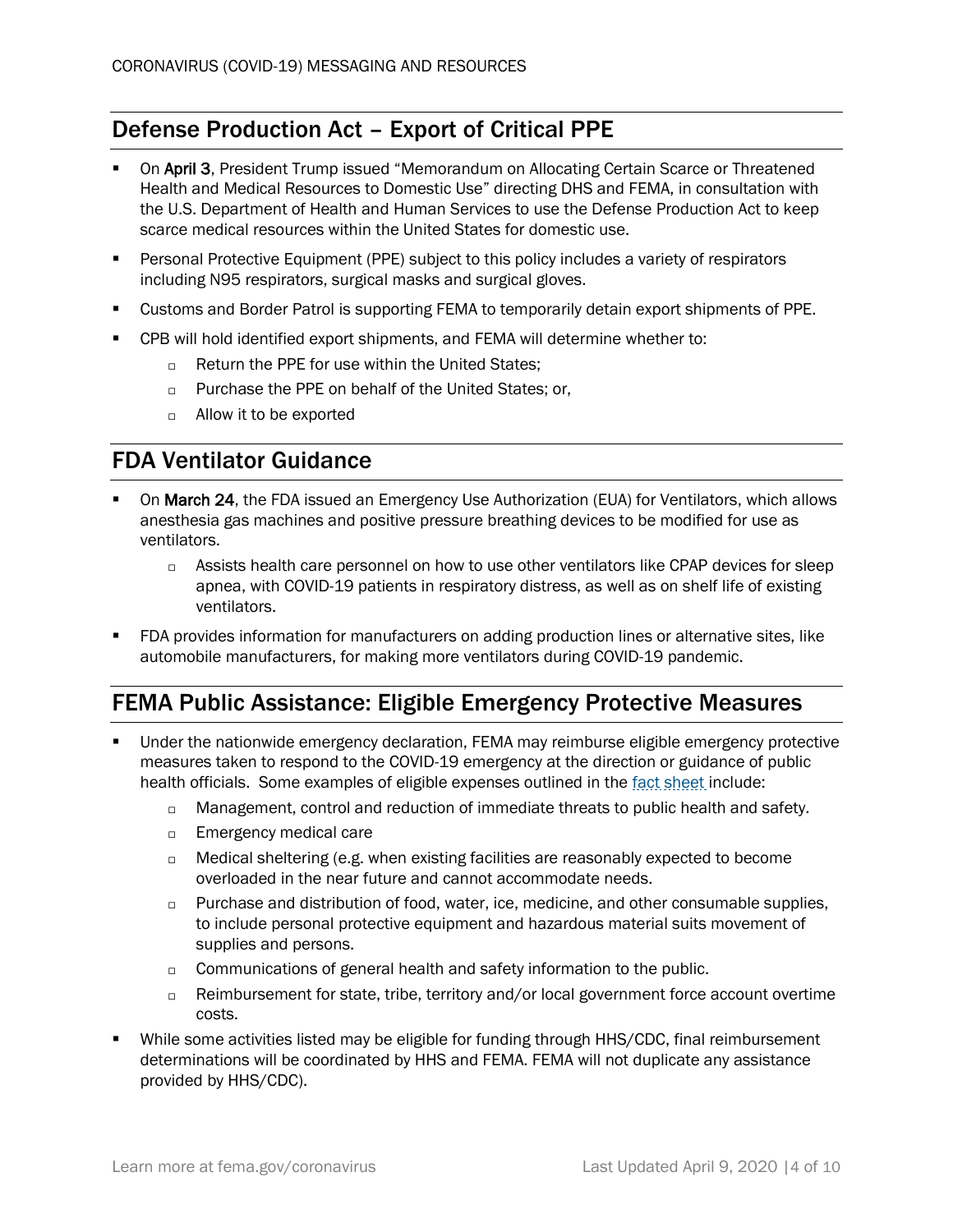# <span id="page-3-0"></span>Defense Production Act – Export of Critical PPE

- **On April 3.** President Trump issued "Memorandum on Allocating Certain Scarce or Threatened Health and Medical Resources to Domestic Use" directing DHS and FEMA, in consultation with the U.S. Department of Health and Human Services to use the Defense Production Act to keep scarce medical resources within the United States for domestic use.
- Personal Protective Equipment (PPE) subject to this policy includes a variety of respirators including N95 respirators, surgical masks and surgical gloves.
- Customs and Border Patrol is supporting FEMA to temporarily detain export shipments of PPE.
- CPB will hold identified export shipments, and FEMA will determine whether to:
	- $\Box$  Return the PPE for use within the United States:
	- $\Box$  Purchase the PPE on behalf of the United States; or,
	- $\Box$  Allow it to be exported

#### <span id="page-3-1"></span>FDA Ventilator Guidance

- On March 24, the FDA issued an [Emergency Use Authorization \(EUA\) for Ventilators,](https://www.fda.gov/medical-devices/emergency-situations-medical-devices/emergency-use-authorizations#covid19ventilators) which allows anesthesia gas machines and positive pressure breathing devices to be modified for use as ventilators.
	- $\Box$  Assists health care personnel on how to use other ventilators like CPAP devices for sleep apnea, with COVID-19 patients in respiratory distress, as well as on shelf life of existing ventilators.
- FDA provides information for manufacturers on adding production lines or alternative sites, like automobile manufacturers, for making more ventilators during COVID-19 pandemic.

### <span id="page-3-2"></span>FEMA Public Assistance: Eligible Emergency Protective Measures

- Under the nationwide emergency declaration, FEMA may reimburse eligible emergency protective measures taken to respond to the COVID-19 emergency at the direction or guidance of public health officials. Some examples of eligible expenses outlined in the [fact sheet](https://www.fema.gov/news-release/2020/03/19/coronavirus-covid-19-pandemic-eligible-emergency-protective-measures) include:
	- $\Box$  Management, control and reduction of immediate threats to public health and safety.
	- $\Box$  Emergency medical care
	- $\Box$  Medical sheltering (e.g. when existing facilities are reasonably expected to become overloaded in the near future and cannot accommodate needs.
	- $\Box$  Purchase and distribution of food, water, ice, medicine, and other consumable supplies, to include personal protective equipment and hazardous material suits movement of supplies and persons.
	- $\Box$  Communications of general health and safety information to the public.
	- $\Box$  Reimbursement for state, tribe, territory and/or local government force account overtime costs.
- While some activities listed may be eligible for funding through HHS/CDC, final reimbursement determinations will be coordinated by HHS and FEMA. FEMA will not duplicate any assistance provided by HHS/CDC).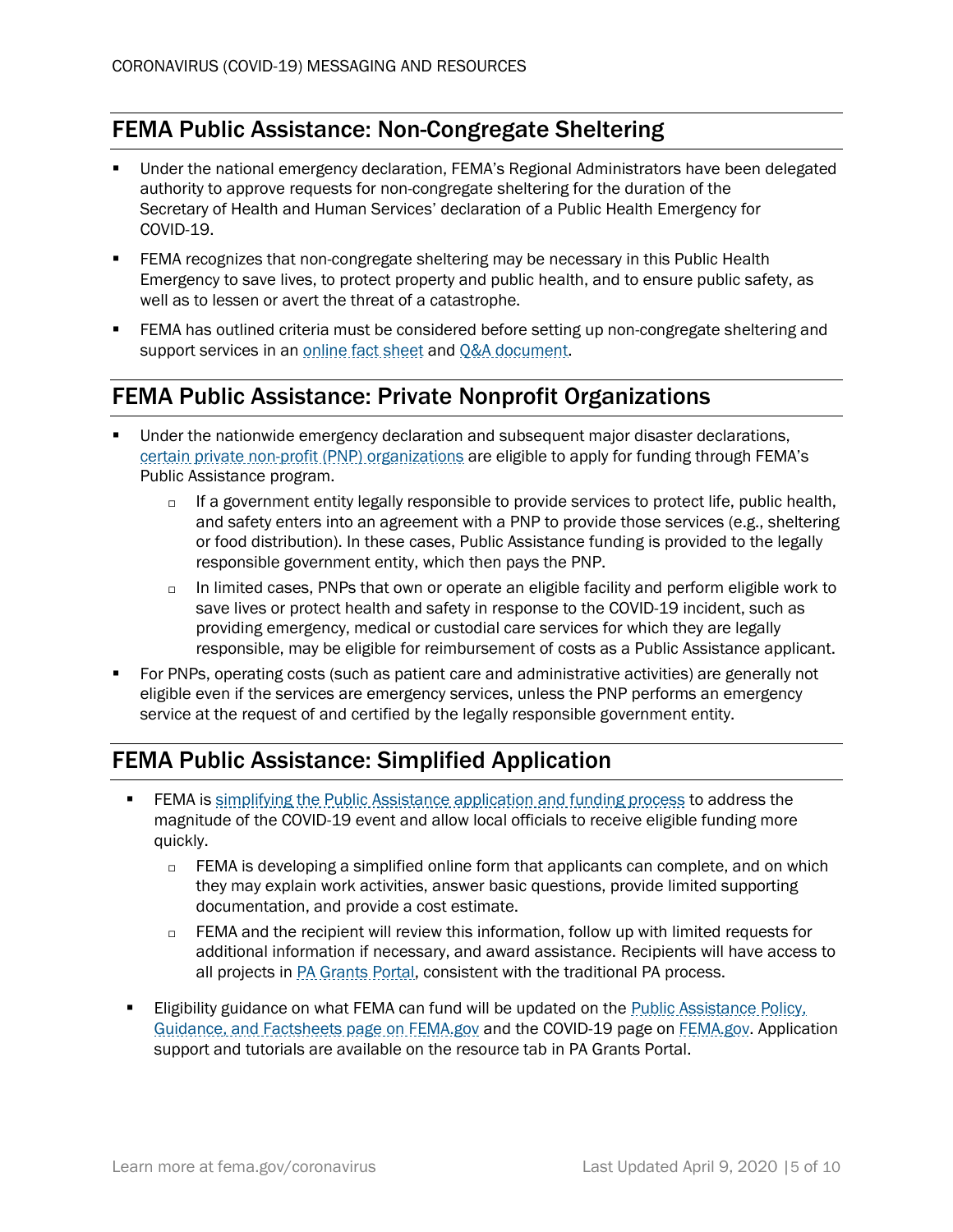## <span id="page-4-0"></span>FEMA Public Assistance: Non-Congregate Sheltering

- Under the national emergency declaration, FEMA's Regional Administrators have been delegated authority to approve requests for non-congregate sheltering for the duration of the Secretary of Health and Human Services' declaration of a Public Health Emergency for COVID-19.
- **ERMA recognizes that non-congregate sheltering may be necessary in this Public Health** Emergency to save lives, to protect property and public health, and to ensure public safety, as well as to lessen or avert the threat of a catastrophe.
- FEMA has outlined criteria must be considered before setting up non-congregate sheltering and support services in a[n online fact sheet](https://www.fema.gov/news-release/2020/03/19/public-assistance-non-congregate-sheltering-delegation-authority) and [Q&A document.](https://www.fema.gov/news-release/2020/03/31/coronavirus-covid-19-pandemic-non-congregate-sheltering)

#### <span id="page-4-1"></span>FEMA Public Assistance: Private Nonprofit Organizations

- Under the nationwide emergency declaration and subsequent major disaster declarations, [certain private non-profit \(PNP\) organizations](https://www.fema.gov/news-release/2020/04/02/coronavirus-covid19-pandemic-private-nonprofit-organizations) are eligible to apply for funding through FEMA's Public Assistance program.
	- $\Box$  If a government entity legally responsible to provide services to protect life, public health, and safety enters into an agreement with a PNP to provide those services (e.g., sheltering or food distribution). In these cases, Public Assistance funding is provided to the legally responsible government entity, which then pays the PNP.
	- $\Box$  In limited cases, PNPs that own or operate an eligible facility and perform eligible work to save lives or protect health and safety in response to the COVID-19 incident, such as providing emergency, medical or custodial care services for which they are legally responsible, may be eligible for reimbursement of costs as a Public Assistance applicant.
- For PNPs, operating costs (such as patient care and administrative activities) are generally not eligible even if the services are emergency services, unless the PNP performs an emergency service at the request of and certified by the legally responsible government entity.

### <span id="page-4-2"></span>FEMA Public Assistance: Simplified Application

- **FEMA** is [simplifying the Public Assistance application and funding process](https://www.fema.gov/news-release/2020/03/23/coronavirus-covid-19-pandemic-public-assistance-simplified-application) to address the magnitude of the COVID-19 event and allow local officials to receive eligible funding more quickly.
	- □ FEMA is developing a simplified online form that applicants can complete, and on which they may explain work activities, answer basic questions, provide limited supporting documentation, and provide a cost estimate.
	- $\Box$  FEMA and the recipient will review this information, follow up with limited requests for additional information if necessary, and award assistance. Recipients will have access to all projects in **PA Grants Portal**, consistent with the traditional PA process.
- Eligibility guidance on what FEMA can fund will be updated on the Public Assistance Policy, [Guidance, and Factsheets page on FEMA.gov](https://www.fema.gov/public-assistance-policy-and-guidance) and the [COVID-19 page on FEMA.gov.](https://www.fema.gov/coronavirus) Application support and tutorials are available on the resource tab in [PA Grants Portal.](https://grantee.fema.gov/)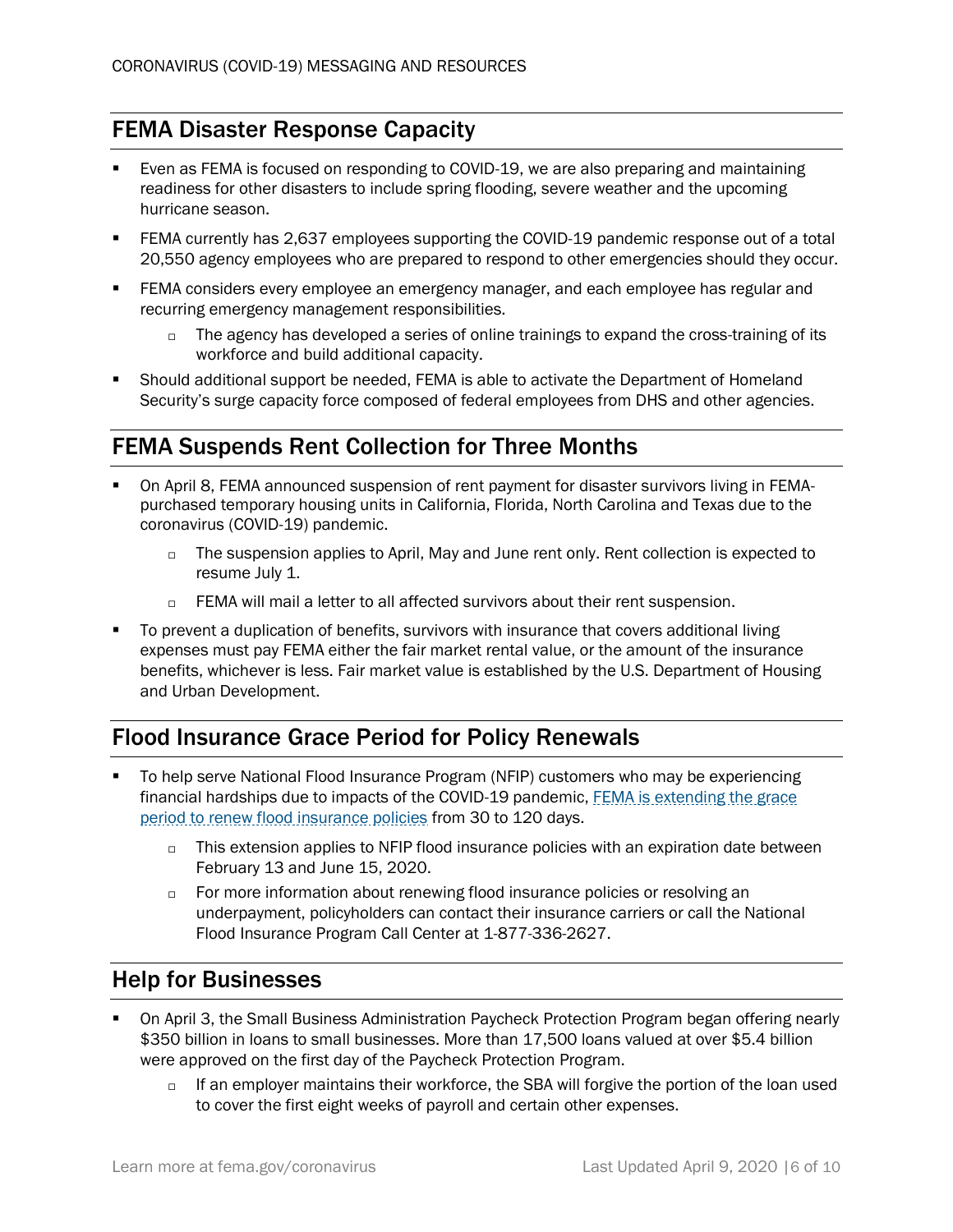# <span id="page-5-0"></span>FEMA Disaster Response Capacity

- Even as FEMA is focused on responding to COVID-19, we are also preparing and maintaining readiness for other disasters to include spring flooding, severe weather and the upcoming hurricane season.
- FEMA currently has 2,637 employees supporting the COVID-19 pandemic response out of a total 20,550 agency employees who are prepared to respond to other emergencies should they occur.
- **ERMA** considers every employee an emergency manager, and each employee has regular and recurring emergency management responsibilities.
	- $\Box$  The agency has developed a series of online trainings to expand the cross-training of its workforce and build additional capacity.
- Should additional support be needed, FEMA is able to activate the Department of Homeland Security's surge capacity force composed of federal employees from DHS and other agencies.

## <span id="page-5-1"></span>FEMA Suspends Rent Collection for Three Months

- On April 8, FEMA announced suspension of rent payment for disaster survivors living in FEMApurchased temporary housing units in California, Florida, North Carolina and Texas due to the coronavirus (COVID-19) pandemic.
	- $\Box$  The suspension applies to April, May and June rent only. Rent collection is expected to resume July 1.
	- □ FEMA will mail a letter to all affected survivors about their rent suspension.
- To prevent a duplication of benefits, survivors with insurance that covers additional living expenses must pay FEMA either the fair market rental value, or the amount of the insurance benefits, whichever is less. Fair market value is established by the U.S. Department of Housing and Urban Development.

### <span id="page-5-2"></span>Flood Insurance Grace Period for Policy Renewals

- To help serve National Flood Insurance Program (NFIP) customers who may be experiencing financial hardships due to impacts of the COVID-19 pandemic, FEMA [is extending the grace](https://www.fema.gov/news-release/2020/03/29/fema-extends-grace-period-flood-insurance-renewal-premiums)  [period to renew flood insurance policies](https://www.fema.gov/news-release/2020/03/29/fema-extends-grace-period-flood-insurance-renewal-premiums) from 30 to 120 days.
	- $\Box$  This extension applies to NFIP flood insurance policies with an expiration date between February 13 and June 15, 2020.
	- $\Box$  For more information about renewing flood insurance policies or resolving an underpayment, policyholders can contact their insurance carriers or call the National Flood Insurance Program Call Center at 1-877-336-2627.

#### <span id="page-5-3"></span>Help for Businesses

- On April 3, the Small Business Administration Paycheck Protection Program began offering nearly \$350 billion in loans to small businesses. More than 17,500 loans valued at over \$5.4 billion were approved on the first day of the Paycheck Protection Program.
	- $\Box$  If an employer maintains their workforce, the SBA will forgive the portion of the loan used to cover the first eight weeks of payroll and certain other expenses.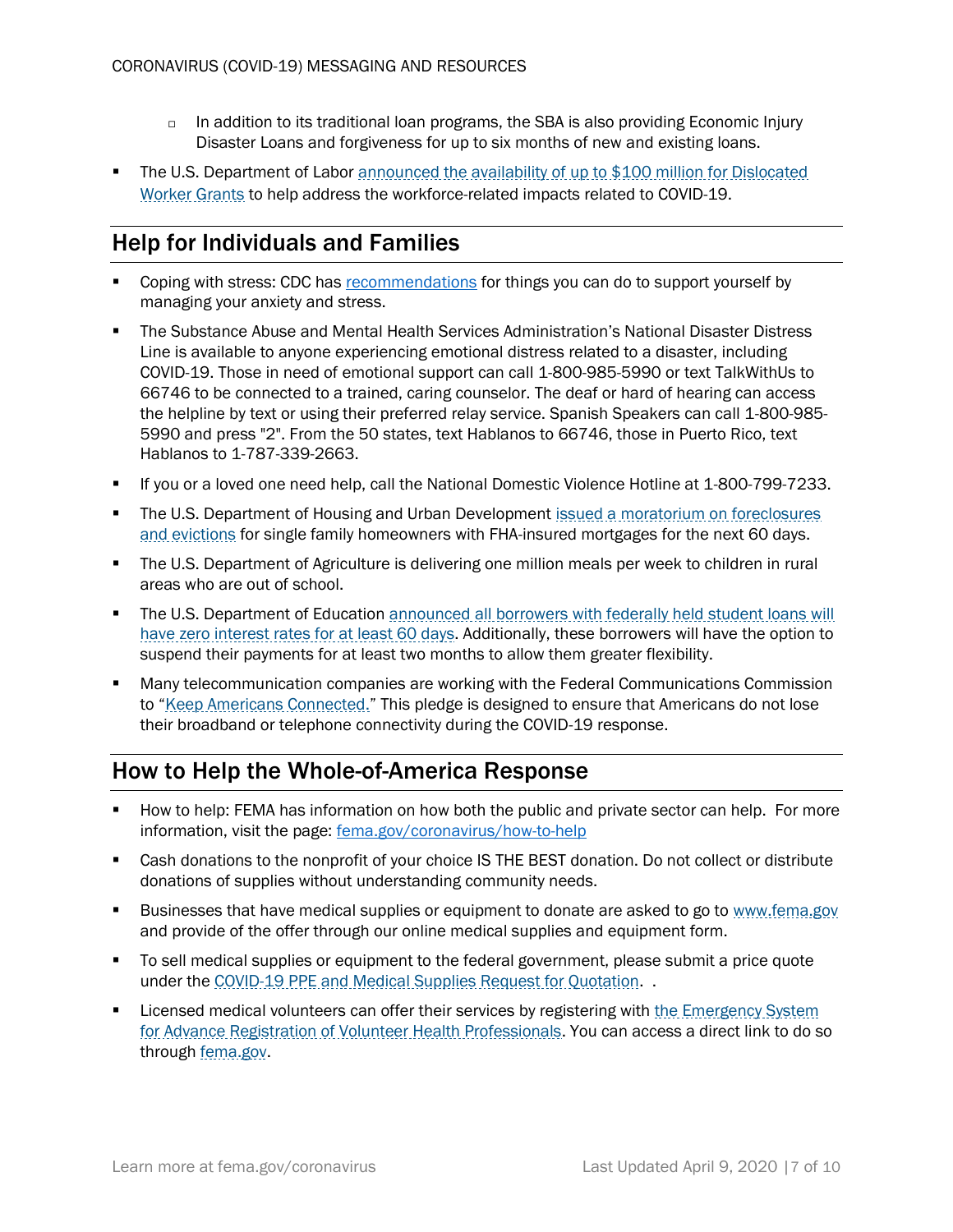- $\Box$  In addition to its traditional loan programs, the SBA is also providing Economic Injury Disaster Loans and forgiveness for up to six months of new and existing loans.
- The U.S. Department of Labor announced the availability of up to \$100 million for Dislocated [Worker Grants](https://www.dol.gov/newsroom/releases/eta/eta20200318) to help address the workforce-related impacts related to COVID-19.

# <span id="page-6-0"></span>Help for Individuals and Families

- Coping with stress: CDC has [recommendations](https://www.cdc.gov/coronavirus/2019-ncov/prepare/managing-stress-anxiety.html) for things you can do to support yourself by managing your anxiety and stress.
- The Substance Abuse and Mental Health Services Administration's National Disaster Distress Line is available to anyone experiencing emotional distress related to a disaster, including COVID-19. Those in need of emotional support can call 1-800-985-5990 or text TalkWithUs to 66746 to be connected to a trained, caring counselor. The deaf or hard of hearing can access the helpline by text or using their preferred relay service. Spanish Speakers can call 1-800-985- 5990 and press "2". From the 50 states, text Hablanos to 66746, those in Puerto Rico, text Hablanos to 1-787-339-2663.
- If you or a loved one need help, call the National Domestic Violence Hotline at 1-800-799-7233.
- **The U.S. Department of Housing and Urban Development issued a moratorium on foreclosures** [and evictions](https://www.hud.gov/press/press_releases_media_advisories/HUD_No_20_042) for single family homeowners with FHA-insured mortgages for the next 60 days.
- The U.S. Department of Agriculture is delivering one million meals per week to children in rural areas who are out of school.
- **The U.S. Department of Education** announced all borrowers with federally held student loans will [have zero interest rates for at least 60 days.](https://www.ed.gov/news/press-releases/delivering-president-trumps-promise-secretary-devos-suspends-federal-student-loan-payments-waives-interest-during-national-emergency) Additionally, these borrowers will have the option to suspend their payments for at least two months to allow them greater flexibility.
- Many telecommunication companies are working with the Federal Communications Commission to "[Keep Americans Connected.](https://www.fcc.gov/keep-americans-connected)" This pledge is designed to ensure that Americans do not lose their broadband or telephone connectivity during the COVID-19 response.

# <span id="page-6-1"></span>How to Help the Whole-of-America Response

- How to help: FEMA has information on how both the public and private sector can help. For more information, visit the page: [fema.gov/coronavirus/how-to-help](https://www.fema.gov/coronavirus/how-to-help)
- Cash donations to the nonprofit of your choice IS THE BEST donation. Do not collect or distribute donations of supplies without understanding community needs.
- **EXECT** Businesses that have medical supplies or equipment to donate are asked to go to [www.fema.gov](http://www.fema.gov/) and provide of the offer through our online medical supplies and equipment form.
- To sell medical supplies or equipment to the federal government, please submit a price quote under th[e COVID-19 PPE and Medical Supplies Request for Quotation.](https://beta.sam.gov/opp/9c09999b72bb4585bafb9b91b3876ffb/view) .
- **EXECT** Licensed medical volunteers can offer their services by registering with the [Emergency](https://www.phe.gov/esarvhp/pages/registration.aspx) System [for Advance Registration of Volunteer Health Professionals.](https://www.phe.gov/esarvhp/pages/registration.aspx) You can access a direct link to do so through fema.gov.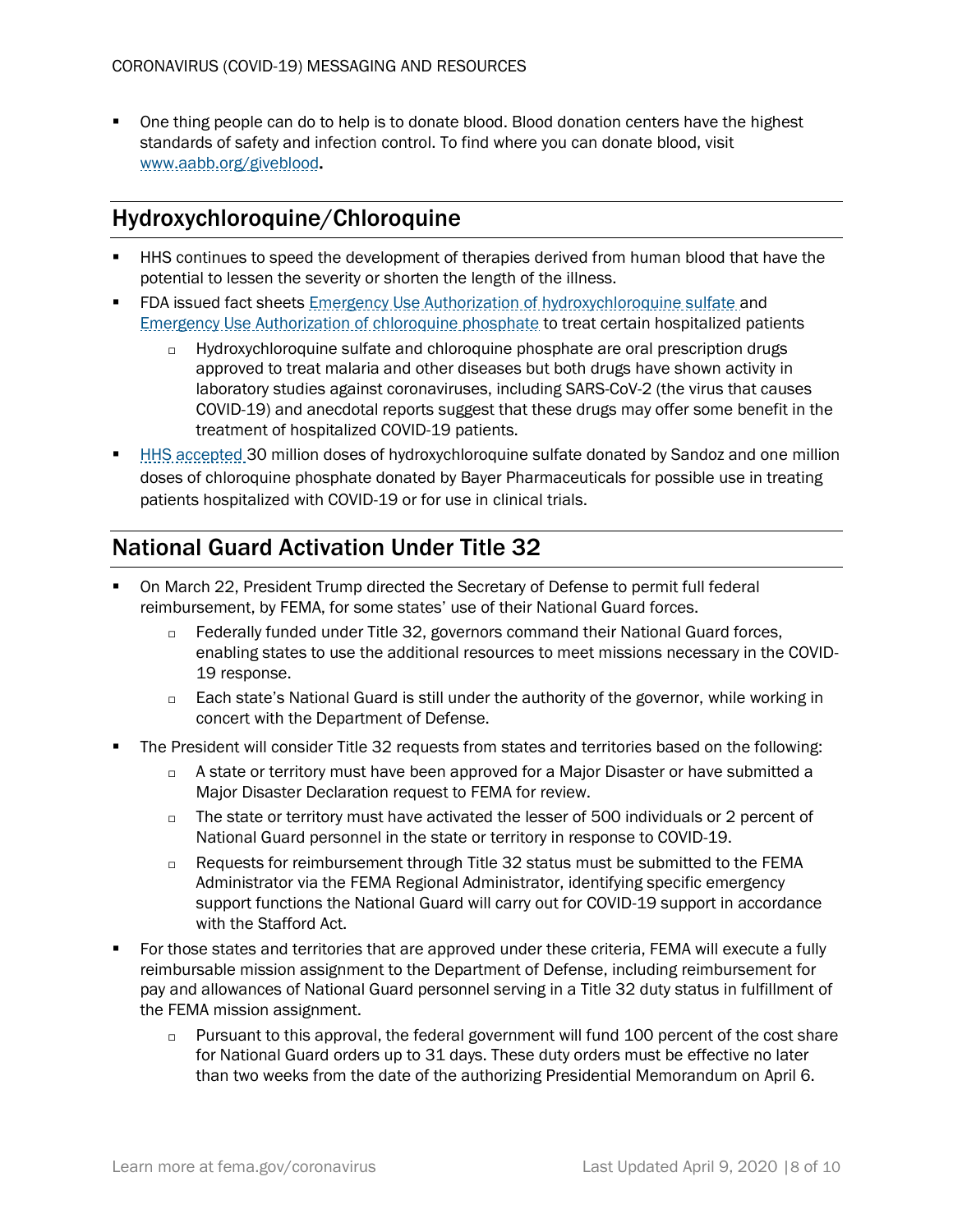■ One thing people can do to help is to donate blood. Blood donation centers have the highest standards of safety and infection control. To find where you can donate blood, visit [www.aabb.org/giveblood.](http://www.aabb.org/giveblood)

#### <span id="page-7-0"></span>Hydroxychloroquine/Chloroquine

- HHS continues to speed the development of therapies derived from human blood that have the potential to lessen the severity or shorten the length of the illness.
- **FDA issued fact sheets [Emergency Use Authorization of hydroxychloroquine sulfate](https://www.fda.gov/media/136537/download) and** [Emergency Use Authorization of chloroquine phosphate](https://www.fda.gov/media/136535/download) to treat certain hospitalized patients
	- $\Box$  Hydroxychloroquine sulfate and chloroquine phosphate are oral prescription drugs approved to treat malaria and other diseases but both drugs have shown activity in laboratory studies against coronaviruses, including SARS-CoV-2 (the virus that causes COVID-19) and anecdotal reports suggest that these drugs may offer some benefit in the treatment of hospitalized COVID-19 patients.
- [HHS accepted](https://www.hhs.gov/about/news/2020/03/29/hhs-accepts-donations-of-medicine-to-strategic-national-stockpile-as-possible-treatments-for-covid-19-patients.html) 30 million doses of hydroxychloroquine sulfate donated by Sandoz and one million doses of chloroquine phosphate donated by Bayer Pharmaceuticals for possible use in treating patients hospitalized with COVID-19 or for use in clinical trials.

### <span id="page-7-1"></span>National Guard Activation Under Title 32

- On March 22, President Trump directed the Secretary of Defense to permit full federal reimbursement, by FEMA, for some states' use of their National Guard forces.
	- $\Box$  Federally funded under Title 32, governors command their National Guard forces, enabling states to use the additional resources to meet missions necessary in the COVID-19 response.
	- $\Box$  Each state's National Guard is still under the authority of the governor, while working in concert with the Department of Defense.
- The President will consider Title 32 requests from states and territories based on the following:
	- $\Box$  A state or territory must have been approved for a Major Disaster or have submitted a Major Disaster Declaration request to FEMA for review.
	- $\Box$  The state or territory must have activated the lesser of 500 individuals or 2 percent of National Guard personnel in the state or territory in response to COVID-19.
	- $\Box$  Requests for reimbursement through Title 32 status must be submitted to the FEMA Administrator via the FEMA Regional Administrator, identifying specific emergency support functions the National Guard will carry out for COVID-19 support in accordance with the Stafford Act.
- For those states and territories that are approved under these criteria, FEMA will execute a fully reimbursable mission assignment to the Department of Defense, including reimbursement for pay and allowances of National Guard personnel serving in a Title 32 duty status in fulfillment of the FEMA mission assignment.
	- $\Box$  Pursuant to this approval, the federal government will fund 100 percent of the cost share for National Guard orders up to 31 days. These duty orders must be effective no later than two weeks from the date of the authorizing Presidential Memorandum on April 6.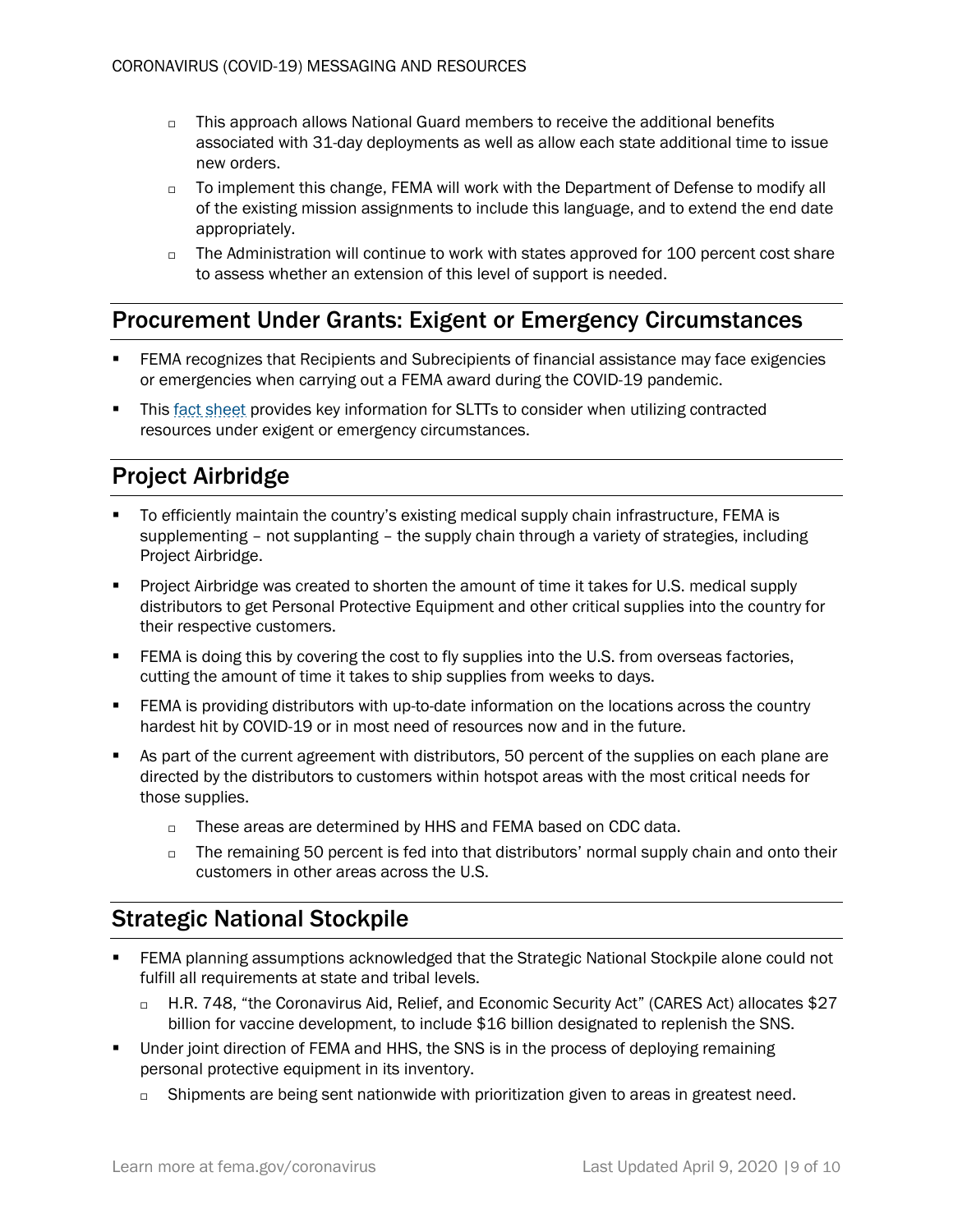- $\Box$  This approach allows National Guard members to receive the additional benefits associated with 31-day deployments as well as allow each state additional time to issue new orders.
- $\Box$  To implement this change, FEMA will work with the Department of Defense to modify all of the existing mission assignments to include this language, and to extend the end date appropriately.
- $\Box$  The Administration will continue to work with states approved for 100 percent cost share to assess whether an extension of this level of support is needed.

### <span id="page-8-0"></span>Procurement Under Grants: Exigent or Emergency Circumstances

- FEMA recognizes that Recipients and Subrecipients of financial assistance may face exigencies or emergencies when carrying out a FEMA award during the COVID-19 pandemic.
- Thi[s fact sheet](https://www.fema.gov/news-release/2020/03/20/procurement-under-grants-under-exigent-or-emergency-circumstances) provides key information for SLTTs to consider when utilizing contracted resources under exigent or emergency circumstances.

# <span id="page-8-1"></span>Project Airbridge

- To efficiently maintain the country's existing medical supply chain infrastructure, FEMA is supplementing – not supplanting – the supply chain through a variety of strategies, including Project Airbridge.
- Project Airbridge was created to shorten the amount of time it takes for U.S. medical supply distributors to get Personal Protective Equipment and other critical supplies into the country for their respective customers.
- **ERMA** is doing this by covering the cost to fly supplies into the U.S. from overseas factories, cutting the amount of time it takes to ship supplies from weeks to days.
- **•** FEMA is providing distributors with up-to-date information on the locations across the country hardest hit by COVID-19 or in most need of resources now and in the future.
- As part of the current agreement with distributors, 50 percent of the supplies on each plane are directed by the distributors to customers within hotspot areas with the most critical needs for those supplies.
	- $\Box$  These areas are determined by HHS and FEMA based on CDC data.
	- $\Box$  The remaining 50 percent is fed into that distributors' normal supply chain and onto their customers in other areas across the U.S.

# <span id="page-8-2"></span>Strategic National Stockpile

- FEMA planning assumptions acknowledged that the Strategic National Stockpile alone could not fulfill all requirements at state and tribal levels.
	- □ H.R. 748, "the Coronavirus Aid, Relief, and Economic Security Act" (CARES Act) allocates \$27 billion for vaccine development, to include \$16 billion designated to replenish the SNS.
- Under joint direction of FEMA and HHS, the SNS is in the process of deploying remaining personal protective equipment in its inventory.
	- □ Shipments are being sent nationwide with prioritization given to areas in greatest need.